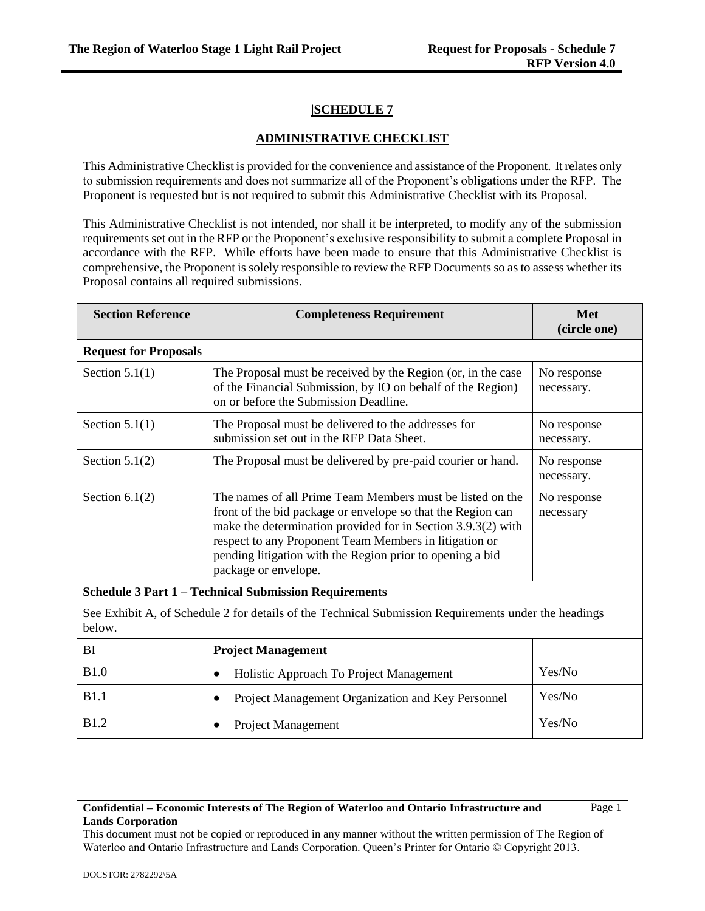# **|SCHEDULE 7**

## **ADMINISTRATIVE CHECKLIST**

This Administrative Checklist is provided for the convenience and assistance of the Proponent. It relates only to submission requirements and does not summarize all of the Proponent's obligations under the RFP. The Proponent is requested but is not required to submit this Administrative Checklist with its Proposal.

This Administrative Checklist is not intended, nor shall it be interpreted, to modify any of the submission requirements set out in the RFP or the Proponent's exclusive responsibility to submit a complete Proposal in accordance with the RFP. While efforts have been made to ensure that this Administrative Checklist is comprehensive, the Proponent is solely responsible to review the RFP Documents so as to assess whether its Proposal contains all required submissions.

| <b>Section Reference</b>                                     | <b>Completeness Requirement</b>                                                                                                                                                                                                                                                                                                         | <b>Met</b><br>(circle one) |
|--------------------------------------------------------------|-----------------------------------------------------------------------------------------------------------------------------------------------------------------------------------------------------------------------------------------------------------------------------------------------------------------------------------------|----------------------------|
| <b>Request for Proposals</b>                                 |                                                                                                                                                                                                                                                                                                                                         |                            |
| Section $5.1(1)$                                             | The Proposal must be received by the Region (or, in the case<br>of the Financial Submission, by IO on behalf of the Region)<br>on or before the Submission Deadline.                                                                                                                                                                    | No response<br>necessary.  |
| Section $5.1(1)$                                             | The Proposal must be delivered to the addresses for<br>submission set out in the RFP Data Sheet.                                                                                                                                                                                                                                        | No response<br>necessary.  |
| Section $5.1(2)$                                             | The Proposal must be delivered by pre-paid courier or hand.                                                                                                                                                                                                                                                                             | No response<br>necessary.  |
| Section $6.1(2)$                                             | The names of all Prime Team Members must be listed on the<br>front of the bid package or envelope so that the Region can<br>make the determination provided for in Section 3.9.3(2) with<br>respect to any Proponent Team Members in litigation or<br>pending litigation with the Region prior to opening a bid<br>package or envelope. | No response<br>necessary   |
| <b>Schedule 3 Part 1 – Technical Submission Requirements</b> |                                                                                                                                                                                                                                                                                                                                         |                            |
| below.                                                       | See Exhibit A, of Schedule 2 for details of the Technical Submission Requirements under the headings                                                                                                                                                                                                                                    |                            |
| BI                                                           | <b>Project Management</b>                                                                                                                                                                                                                                                                                                               |                            |
| B1.0                                                         | Holistic Approach To Project Management<br>$\bullet$                                                                                                                                                                                                                                                                                    | Yes/No                     |
| B1.1                                                         | Project Management Organization and Key Personnel                                                                                                                                                                                                                                                                                       | Yes/No                     |
| <b>B1.2</b>                                                  | <b>Project Management</b>                                                                                                                                                                                                                                                                                                               | Yes/No                     |

#### **Confidential – Economic Interests of The Region of Waterloo and Ontario Infrastructure and Lands Corporation**

Page 1

This document must not be copied or reproduced in any manner without the written permission of The Region of Waterloo and Ontario Infrastructure and Lands Corporation. Queen's Printer for Ontario © Copyright 2013.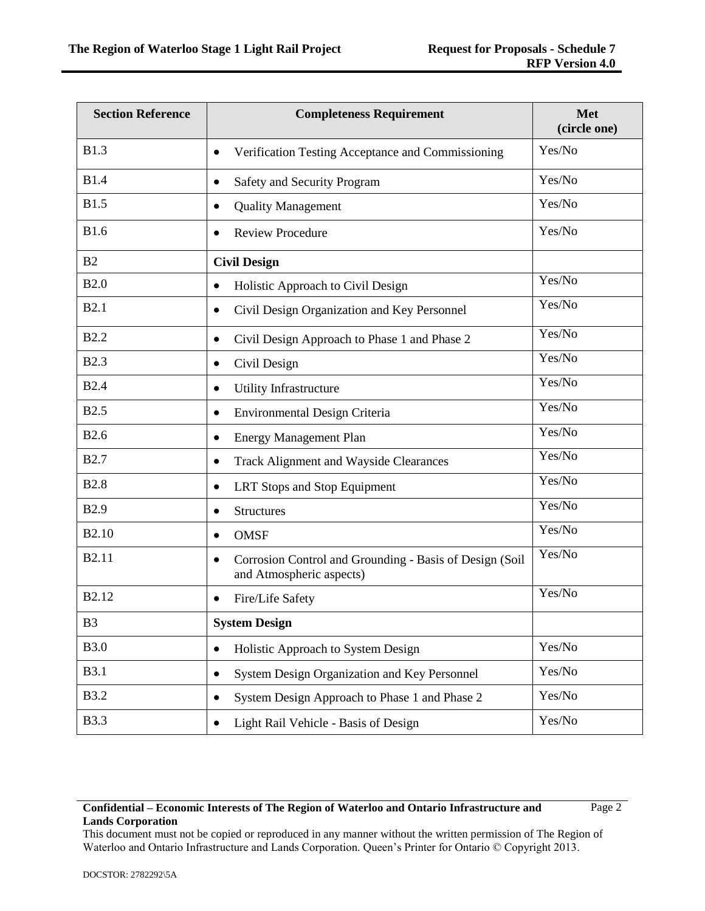| <b>Section Reference</b> | <b>Completeness Requirement</b>                                                                  | Met<br>(circle one) |
|--------------------------|--------------------------------------------------------------------------------------------------|---------------------|
| <b>B1.3</b>              | Verification Testing Acceptance and Commissioning<br>$\bullet$                                   | Yes/No              |
| <b>B1.4</b>              | Safety and Security Program<br>$\bullet$                                                         | Yes/No              |
| <b>B1.5</b>              | <b>Quality Management</b><br>$\bullet$                                                           | Yes/No              |
| <b>B1.6</b>              | <b>Review Procedure</b>                                                                          | Yes/No              |
| B <sub>2</sub>           | <b>Civil Design</b>                                                                              |                     |
| B2.0                     | Holistic Approach to Civil Design<br>$\bullet$                                                   | Yes/No              |
| <b>B2.1</b>              | Civil Design Organization and Key Personnel<br>$\bullet$                                         | Yes/No              |
| <b>B2.2</b>              | Civil Design Approach to Phase 1 and Phase 2<br>$\bullet$                                        | Yes/No              |
| <b>B2.3</b>              | Civil Design<br>٠                                                                                | Yes/No              |
| <b>B2.4</b>              | Utility Infrastructure<br>$\bullet$                                                              | Yes/No              |
| <b>B2.5</b>              | Environmental Design Criteria<br>$\bullet$                                                       | Yes/No              |
| <b>B2.6</b>              | <b>Energy Management Plan</b><br>$\bullet$                                                       | Yes/No              |
| <b>B2.7</b>              | <b>Track Alignment and Wayside Clearances</b><br>$\bullet$                                       | Yes/No              |
| <b>B2.8</b>              | LRT Stops and Stop Equipment<br>$\bullet$                                                        | Yes/No              |
| <b>B2.9</b>              | <b>Structures</b><br>$\bullet$                                                                   | Yes/No              |
| B <sub>2.10</sub>        | <b>OMSF</b><br>$\bullet$                                                                         | Yes/No              |
| B2.11                    | Corrosion Control and Grounding - Basis of Design (Soil<br>$\bullet$<br>and Atmospheric aspects) | Yes/No              |
| B2.12                    | Fire/Life Safety                                                                                 | Yes/No              |
| B3                       | <b>System Design</b>                                                                             |                     |
| <b>B3.0</b>              | Holistic Approach to System Design<br>$\bullet$                                                  | Yes/No              |
| <b>B3.1</b>              | System Design Organization and Key Personnel<br>$\bullet$                                        | Yes/No              |
| <b>B3.2</b>              | System Design Approach to Phase 1 and Phase 2<br>$\bullet$                                       | Yes/No              |
| <b>B</b> 3.3             | Light Rail Vehicle - Basis of Design                                                             | Yes/No              |

Page 2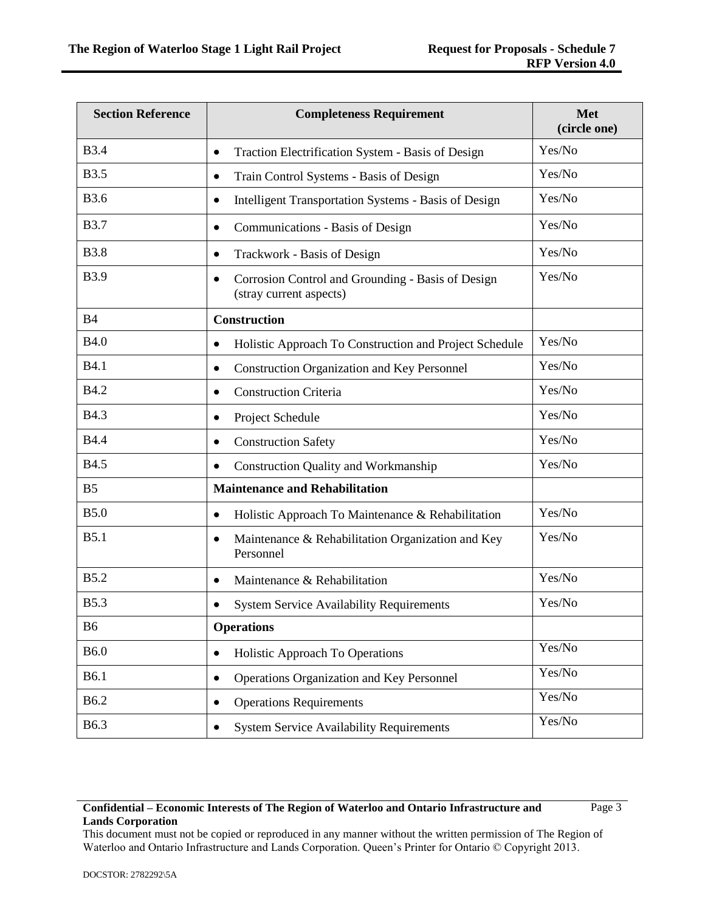| <b>Section Reference</b> | <b>Completeness Requirement</b>                                                           | <b>Met</b><br>(circle one) |
|--------------------------|-------------------------------------------------------------------------------------------|----------------------------|
| <b>B</b> 3.4             | Traction Electrification System - Basis of Design<br>$\bullet$                            | Yes/No                     |
| <b>B3.5</b>              | Train Control Systems - Basis of Design<br>$\bullet$                                      | Yes/No                     |
| <b>B3.6</b>              | <b>Intelligent Transportation Systems - Basis of Design</b><br>$\bullet$                  | Yes/No                     |
| <b>B</b> 3.7             | Communications - Basis of Design<br>$\bullet$                                             | Yes/No                     |
| <b>B3.8</b>              | Trackwork - Basis of Design<br>$\bullet$                                                  | Yes/No                     |
| <b>B</b> 3.9             | Corrosion Control and Grounding - Basis of Design<br>$\bullet$<br>(stray current aspects) | Yes/No                     |
| <b>B4</b>                | <b>Construction</b>                                                                       |                            |
| <b>B4.0</b>              | Holistic Approach To Construction and Project Schedule<br>$\bullet$                       | Yes/No                     |
| <b>B4.1</b>              | <b>Construction Organization and Key Personnel</b><br>$\bullet$                           | Yes/No                     |
| <b>B4.2</b>              | <b>Construction Criteria</b><br>$\bullet$                                                 | Yes/No                     |
| <b>B4.3</b>              | Project Schedule<br>$\bullet$                                                             | Yes/No                     |
| <b>B4.4</b>              | <b>Construction Safety</b><br>٠                                                           | Yes/No                     |
| <b>B4.5</b>              | <b>Construction Quality and Workmanship</b><br>$\bullet$                                  | Yes/No                     |
| B <sub>5</sub>           | <b>Maintenance and Rehabilitation</b>                                                     |                            |
| <b>B5.0</b>              | Holistic Approach To Maintenance & Rehabilitation<br>٠                                    | Yes/No                     |
| B5.1                     | Maintenance & Rehabilitation Organization and Key<br>$\bullet$<br>Personnel               | Yes/No                     |
| <b>B5.2</b>              | Maintenance & Rehabilitation<br>$\bullet$                                                 | Yes/No                     |
| <b>B5.3</b>              | <b>System Service Availability Requirements</b><br>$\bullet$                              | Yes/No                     |
| <b>B6</b>                | <b>Operations</b>                                                                         |                            |
| <b>B6.0</b>              | <b>Holistic Approach To Operations</b><br>$\bullet$                                       | Yes/No                     |
| <b>B6.1</b>              | Operations Organization and Key Personnel<br>$\bullet$                                    | Yes/No                     |
| <b>B6.2</b>              | <b>Operations Requirements</b>                                                            | Yes/No                     |
| <b>B6.3</b>              | <b>System Service Availability Requirements</b>                                           | Yes/No                     |

Page 3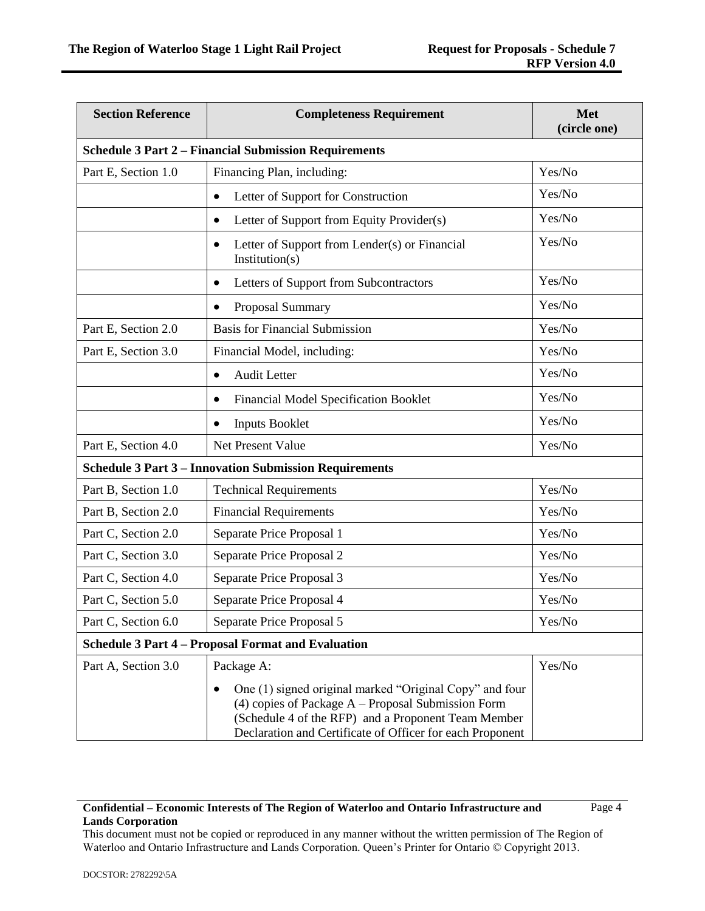| <b>Section Reference</b> | <b>Completeness Requirement</b>                                                                                                                                                                                                                  | <b>Met</b><br>(circle one) |
|--------------------------|--------------------------------------------------------------------------------------------------------------------------------------------------------------------------------------------------------------------------------------------------|----------------------------|
|                          | <b>Schedule 3 Part 2 – Financial Submission Requirements</b>                                                                                                                                                                                     |                            |
| Part E, Section 1.0      | Financing Plan, including:                                                                                                                                                                                                                       | Yes/No                     |
|                          | Letter of Support for Construction<br>$\bullet$                                                                                                                                                                                                  | Yes/No                     |
|                          | Letter of Support from Equity Provider(s)<br>٠                                                                                                                                                                                                   | Yes/No                     |
|                          | Letter of Support from Lender(s) or Financial<br>$\bullet$<br>Institution(s)                                                                                                                                                                     | Yes/No                     |
|                          | Letters of Support from Subcontractors<br>$\bullet$                                                                                                                                                                                              | Yes/No                     |
|                          | Proposal Summary<br>$\bullet$                                                                                                                                                                                                                    | Yes/No                     |
| Part E, Section 2.0      | <b>Basis for Financial Submission</b>                                                                                                                                                                                                            | Yes/No                     |
| Part E, Section 3.0      | Financial Model, including:                                                                                                                                                                                                                      | Yes/No                     |
|                          | <b>Audit Letter</b><br>$\bullet$                                                                                                                                                                                                                 | Yes/No                     |
|                          | <b>Financial Model Specification Booklet</b><br>$\bullet$                                                                                                                                                                                        | Yes/No                     |
|                          | <b>Inputs Booklet</b><br>$\bullet$                                                                                                                                                                                                               | Yes/No                     |
| Part E, Section 4.0      | Net Present Value                                                                                                                                                                                                                                | Yes/No                     |
|                          | <b>Schedule 3 Part 3 - Innovation Submission Requirements</b>                                                                                                                                                                                    |                            |
| Part B, Section 1.0      | <b>Technical Requirements</b>                                                                                                                                                                                                                    | Yes/No                     |
| Part B, Section 2.0      | <b>Financial Requirements</b>                                                                                                                                                                                                                    | Yes/No                     |
| Part C, Section 2.0      | Separate Price Proposal 1                                                                                                                                                                                                                        | Yes/No                     |
| Part C, Section 3.0      | Separate Price Proposal 2                                                                                                                                                                                                                        | Yes/No                     |
| Part C, Section 4.0      | Separate Price Proposal 3                                                                                                                                                                                                                        | Yes/No                     |
| Part C, Section 5.0      | Separate Price Proposal 4                                                                                                                                                                                                                        | Yes/No                     |
| Part C, Section 6.0      | Separate Price Proposal 5                                                                                                                                                                                                                        | Yes/No                     |
|                          | Schedule 3 Part 4 – Proposal Format and Evaluation                                                                                                                                                                                               |                            |
| Part A, Section 3.0      | Package A:                                                                                                                                                                                                                                       | Yes/No                     |
|                          | One (1) signed original marked "Original Copy" and four<br>$\bullet$<br>$(4)$ copies of Package A – Proposal Submission Form<br>(Schedule 4 of the RFP) and a Proponent Team Member<br>Declaration and Certificate of Officer for each Proponent |                            |

Page 4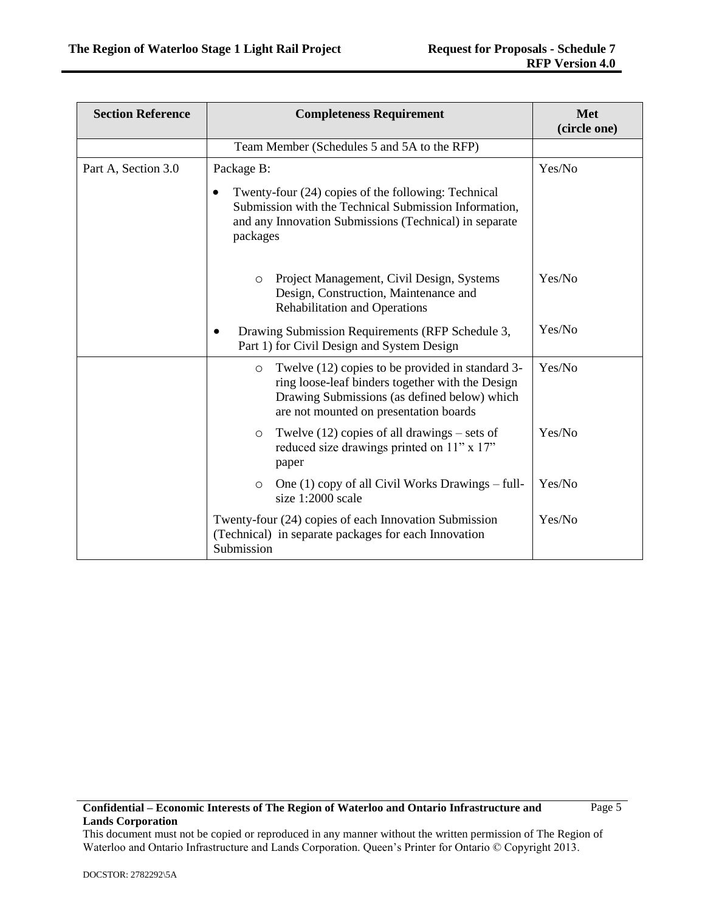| <b>Section Reference</b> | <b>Completeness Requirement</b>                                                                                                                                                                           | <b>Met</b><br>(circle one) |
|--------------------------|-----------------------------------------------------------------------------------------------------------------------------------------------------------------------------------------------------------|----------------------------|
|                          | Team Member (Schedules 5 and 5A to the RFP)                                                                                                                                                               |                            |
| Part A, Section 3.0      | Package B:<br>Twenty-four (24) copies of the following: Technical<br>Submission with the Technical Submission Information,<br>and any Innovation Submissions (Technical) in separate<br>packages          | Yes/No                     |
|                          | Project Management, Civil Design, Systems<br>$\circ$<br>Design, Construction, Maintenance and<br><b>Rehabilitation and Operations</b>                                                                     | Yes/No                     |
|                          | Drawing Submission Requirements (RFP Schedule 3,<br>Part 1) for Civil Design and System Design                                                                                                            | Yes/No                     |
|                          | Twelve (12) copies to be provided in standard 3-<br>$\circ$<br>ring loose-leaf binders together with the Design<br>Drawing Submissions (as defined below) which<br>are not mounted on presentation boards | Yes/No                     |
|                          | Twelve $(12)$ copies of all drawings – sets of<br>$\circ$<br>reduced size drawings printed on 11" x 17"<br>paper                                                                                          | Yes/No                     |
|                          | One $(1)$ copy of all Civil Works Drawings – full-<br>$\circ$<br>size 1:2000 scale                                                                                                                        | Yes/No                     |
|                          | Twenty-four (24) copies of each Innovation Submission<br>(Technical) in separate packages for each Innovation<br>Submission                                                                               | Yes/No                     |

Page 5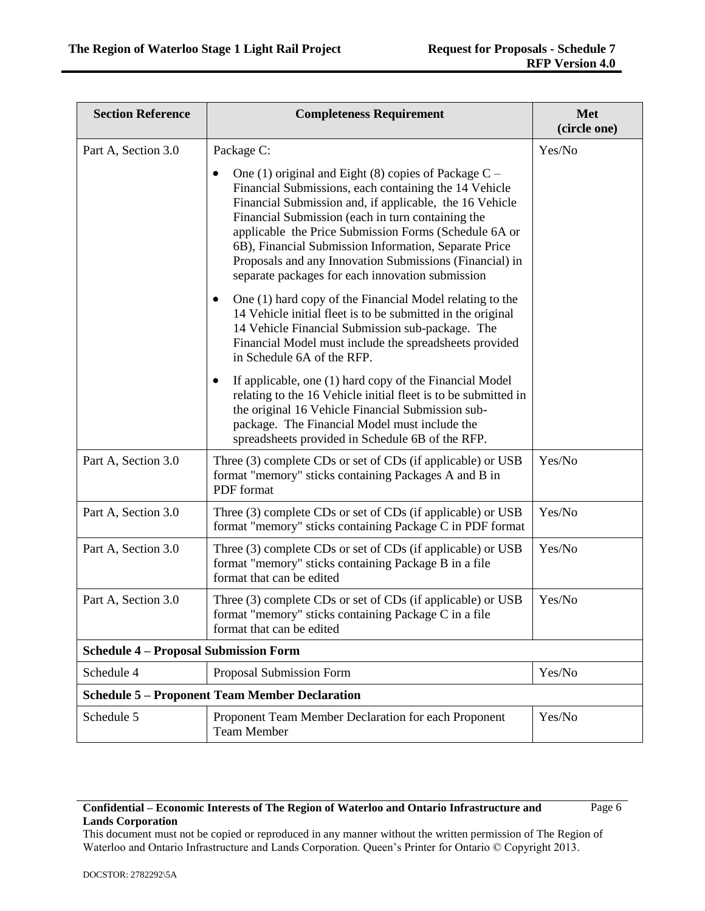| <b>Section Reference</b>                              | <b>Completeness Requirement</b>                                                                                                                                                                                                                                                                                                                                                                                                                                               | <b>Met</b><br>(circle one) |
|-------------------------------------------------------|-------------------------------------------------------------------------------------------------------------------------------------------------------------------------------------------------------------------------------------------------------------------------------------------------------------------------------------------------------------------------------------------------------------------------------------------------------------------------------|----------------------------|
| Part A, Section 3.0                                   | Package C:                                                                                                                                                                                                                                                                                                                                                                                                                                                                    | Yes/No                     |
|                                                       | One (1) original and Eight (8) copies of Package $C -$<br>$\bullet$<br>Financial Submissions, each containing the 14 Vehicle<br>Financial Submission and, if applicable, the 16 Vehicle<br>Financial Submission (each in turn containing the<br>applicable the Price Submission Forms (Schedule 6A or<br>6B), Financial Submission Information, Separate Price<br>Proposals and any Innovation Submissions (Financial) in<br>separate packages for each innovation submission |                            |
|                                                       | One (1) hard copy of the Financial Model relating to the<br>14 Vehicle initial fleet is to be submitted in the original<br>14 Vehicle Financial Submission sub-package. The<br>Financial Model must include the spreadsheets provided<br>in Schedule 6A of the RFP.                                                                                                                                                                                                           |                            |
|                                                       | If applicable, one (1) hard copy of the Financial Model<br>relating to the 16 Vehicle initial fleet is to be submitted in<br>the original 16 Vehicle Financial Submission sub-<br>package. The Financial Model must include the<br>spreadsheets provided in Schedule 6B of the RFP.                                                                                                                                                                                           |                            |
| Part A, Section 3.0                                   | Three (3) complete CDs or set of CDs (if applicable) or USB<br>format "memory" sticks containing Packages A and B in<br>PDF format                                                                                                                                                                                                                                                                                                                                            | Yes/No                     |
| Part A, Section 3.0                                   | Three (3) complete CDs or set of CDs (if applicable) or USB<br>format "memory" sticks containing Package C in PDF format                                                                                                                                                                                                                                                                                                                                                      | Yes/No                     |
| Part A, Section 3.0                                   | Three (3) complete CDs or set of CDs (if applicable) or USB<br>format "memory" sticks containing Package B in a file<br>format that can be edited                                                                                                                                                                                                                                                                                                                             | Yes/No                     |
| Part A, Section 3.0                                   | Three (3) complete CDs or set of CDs (if applicable) or USB<br>format "memory" sticks containing Package C in a file<br>format that can be edited                                                                                                                                                                                                                                                                                                                             | Yes/No                     |
| <b>Schedule 4 - Proposal Submission Form</b>          |                                                                                                                                                                                                                                                                                                                                                                                                                                                                               |                            |
| Schedule 4                                            | Proposal Submission Form                                                                                                                                                                                                                                                                                                                                                                                                                                                      | Yes/No                     |
| <b>Schedule 5 - Proponent Team Member Declaration</b> |                                                                                                                                                                                                                                                                                                                                                                                                                                                                               |                            |
| Schedule 5                                            | Proponent Team Member Declaration for each Proponent<br><b>Team Member</b>                                                                                                                                                                                                                                                                                                                                                                                                    | Yes/No                     |

Page 6

This document must not be copied or reproduced in any manner without the written permission of The Region of Waterloo and Ontario Infrastructure and Lands Corporation. Queen's Printer for Ontario © Copyright 2013.